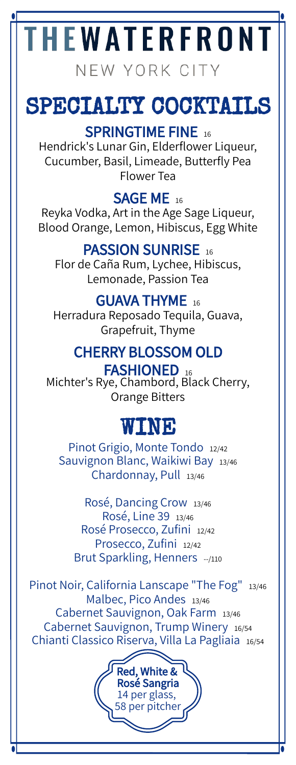# **HEWATERFRONT**

NEW YORK CITY

# SPECIALTY COCKTAILS

#### SPRINGTIME FINE 16

Hendrick's Lunar Gin, Elderflower Liqueur, Cucumber, Basil, Limeade, Butterfly Pea Flower Tea

#### SAGE ME<sub>16</sub>

Reyka Vodka, Art in the Age Sage Liqueur, Blood Orange, Lemon, Hibiscus, Egg White

#### PASSION SUNRISE 16

Flor de Caña Rum, Lychee, Hibiscus, Lemonade, Passion Tea

#### GUAVA THYME 16

Herradura Reposado Tequila, Guava, Grapefruit, Thyme

#### CHERRY BLOSSOM OLD

FASHIONED 16 Michter's Rye, Chambord, Black Cherry, Orange Bitters

## WINE

Pinot Grigio, Monte Tondo 12/42 Sauvignon Blanc, Waikiwi Bay 13/46 Chardonnay, Pull 13/46

Rosé, Dancing Crow 13/46 Rosé, Line 39 13/46 Rosé Prosecco, Zufini 12/42 Prosecco, Zufini 12/42 Brut Sparkling, Henners --/110

Pinot Noir, California Lanscape "The Fog" 13/46 Malbec, Pico Andes 13/46 Cabernet Sauvignon, Oak Farm 13/46 Cabernet Sauvignon, Trump Winery 16/54 Chianti Classico Riserva, Villa La Pagliaia 16/54